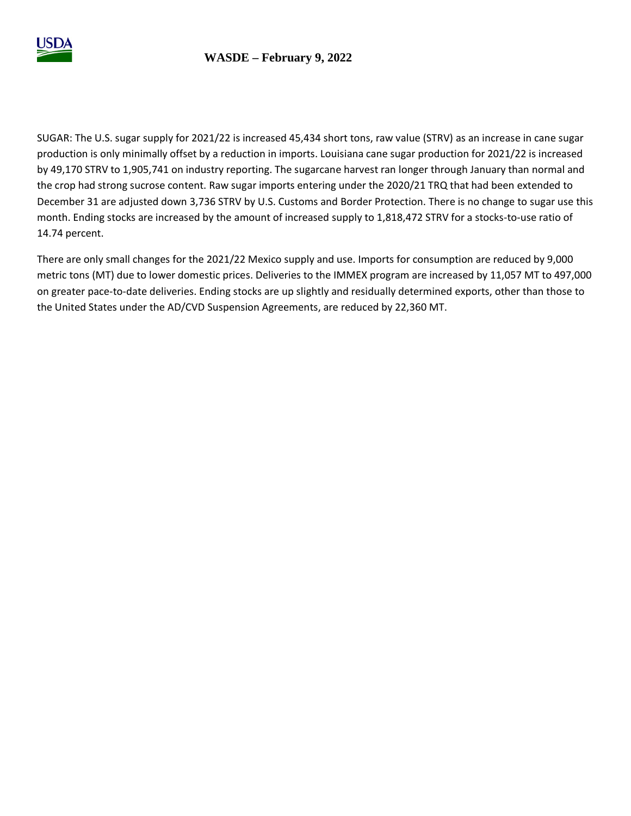

SUGAR: The U.S. sugar supply for 2021/22 is increased 45,434 short tons, raw value (STRV) as an increase in cane sugar production is only minimally offset by a reduction in imports. Louisiana cane sugar production for 2021/22 is increased by 49,170 STRV to 1,905,741 on industry reporting. The sugarcane harvest ran longer through January than normal and the crop had strong sucrose content. Raw sugar imports entering under the 2020/21 TRQ that had been extended to December 31 are adjusted down 3,736 STRV by U.S. Customs and Border Protection. There is no change to sugar use this month. Ending stocks are increased by the amount of increased supply to 1,818,472 STRV for a stocks-to-use ratio of 14.74 percent.

There are only small changes for the 2021/22 Mexico supply and use. Imports for consumption are reduced by 9,000 metric tons (MT) due to lower domestic prices. Deliveries to the IMMEX program are increased by 11,057 MT to 497,000 on greater pace-to-date deliveries. Ending stocks are up slightly and residually determined exports, other than those to the United States under the AD/CVD Suspension Agreements, are reduced by 22,360 MT.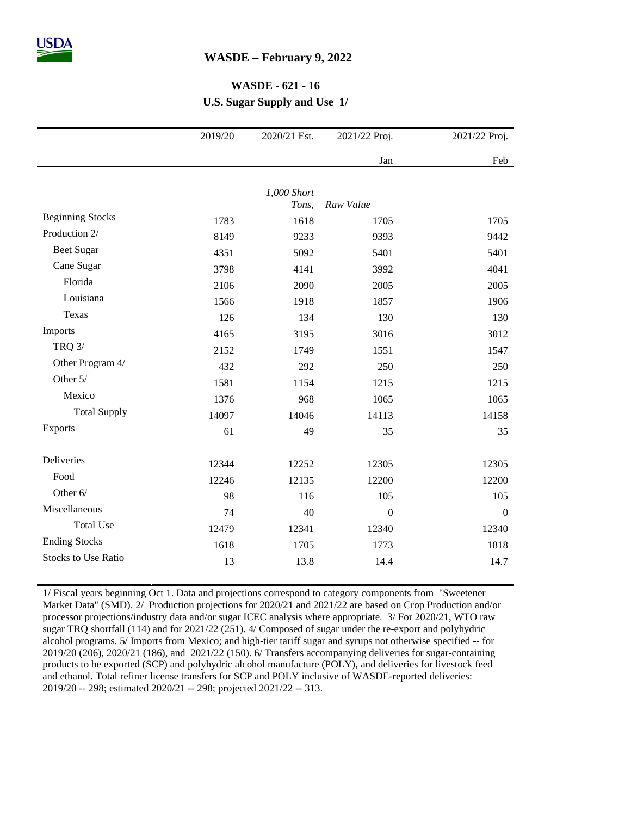## **WASDE – February 9, 2022**

## **WASDE - 621 - 16**

**U.S. Sugar Supply and Use 1/**

|                            | 2019/20 | 2020/21 Est. | 2021/22 Proj.    | 2021/22 Proj.    |
|----------------------------|---------|--------------|------------------|------------------|
|                            |         |              | Jan              | Feb              |
|                            |         |              |                  |                  |
|                            |         | 1,000 Short  |                  |                  |
|                            |         | Tons,        | Raw Value        |                  |
| <b>Beginning Stocks</b>    | 1783    | 1618         | 1705             | 1705             |
| Production 2/              | 8149    | 9233         | 9393             | 9442             |
| Beet Sugar                 | 4351    | 5092         | 5401             | 5401             |
| Cane Sugar                 | 3798    | 4141         | 3992             | 4041             |
| Florida                    | 2106    | 2090         | 2005             | 2005             |
| Louisiana                  | 1566    | 1918         | 1857             | 1906             |
| Texas                      | 126     | 134          | 130              | 130              |
| Imports                    | 4165    | 3195         | 3016             | 3012             |
| <b>TRQ 3/</b>              | 2152    | 1749         | 1551             | 1547             |
| Other Program 4/           | 432     | 292          | 250              | 250              |
| Other 5/                   | 1581    | 1154         | 1215             | 1215             |
| Mexico                     | 1376    | 968          | 1065             | 1065             |
| <b>Total Supply</b>        | 14097   | 14046        | 14113            | 14158            |
| Exports                    | 61      | 49           | 35               | 35               |
|                            |         |              |                  |                  |
| Deliveries                 | 12344   | 12252        | 12305            | 12305            |
| Food                       | 12246   | 12135        | 12200            | 12200            |
| Other 6/                   | 98      | 116          | 105              | 105              |
| Miscellaneous              | 74      | 40           | $\boldsymbol{0}$ | $\boldsymbol{0}$ |
| <b>Total Use</b>           | 12479   | 12341        | 12340            | 12340            |
| <b>Ending Stocks</b>       | 1618    | 1705         | 1773             | 1818             |
| <b>Stocks to Use Ratio</b> |         |              |                  |                  |
|                            | 13      | 13.8         | 14.4             | 14.7             |

1/ Fiscal years beginning Oct 1. Data and projections correspond to category components from "Sweetener Market Data" (SMD). 2/ Production projections for 2020/21 and 2021/22 are based on Crop Production and/or processor projections/industry data and/or sugar ICEC analysis where appropriate. 3/ For 2020/21, WTO raw sugar TRQ shortfall (114) and for 2021/22 (251). 4/ Composed of sugar under the re-export and polyhydric alcohol programs. 5/ Imports from Mexico; and high-tier tariff sugar and syrups not otherwise specified -- for 2019/20 (206), 2020/21 (186), and 2021/22 (150). 6/ Transfers accompanying deliveries for sugar-containing products to be exported (SCP) and polyhydric alcohol manufacture (POLY), and deliveries for livestock feed and ethanol. Total refiner license transfers for SCP and POLY inclusive of WASDE-reported deliveries: 2019/20 -- 298; estimated 2020/21 -- 298; projected 2021/22 -- 313.